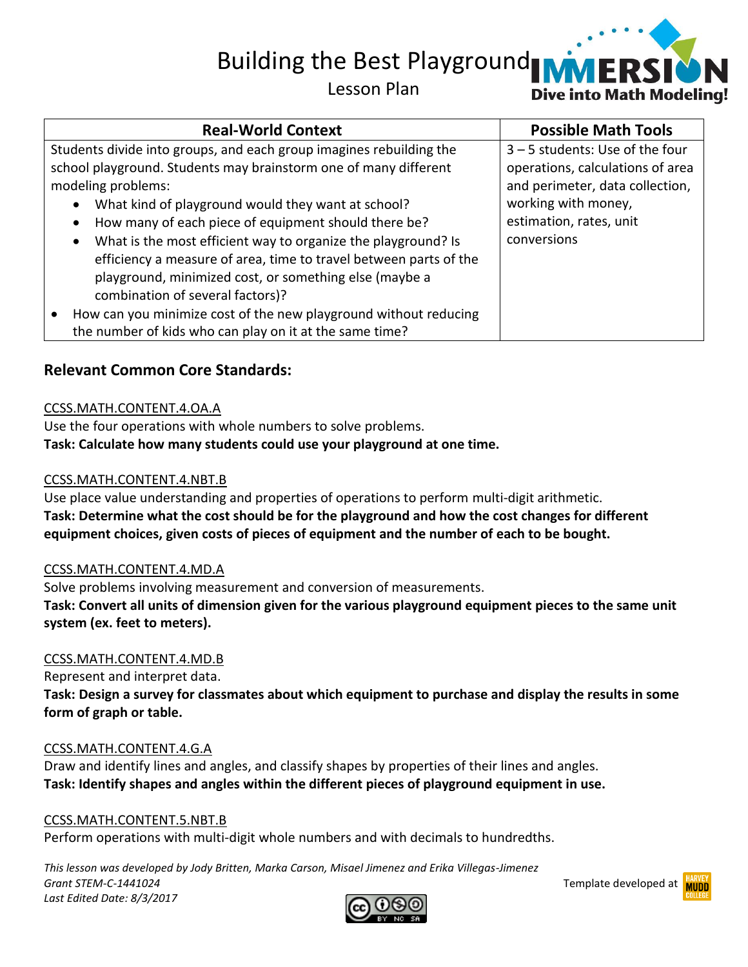Building the Best Playground

## Lesson Plan



## **Relevant Common Core Standards:**

#### CCSS.MATH.CONTENT.4.OA.A

Use the four operations with whole numbers to solve problems. **Task: Calculate how many students could use your playground at one time.**

#### CCSS.MATH.CONTENT.4.NBT.B

Use place value understanding and properties of operations to perform multi-digit arithmetic. **Task: Determine what the cost should be for the playground and how the cost changes for different equipment choices, given costs of pieces of equipment and the number of each to be bought.**

#### CCSS.MATH.CONTENT.4.MD.A

Solve problems involving measurement and conversion of measurements. **Task: Convert all units of dimension given for the various playground equipment pieces to the same unit system (ex. feet to meters).**

#### CCSS.MATH.CONTENT.4.MD.B

Represent and interpret data.

**Task: Design a survey for classmates about which equipment to purchase and display the results in some form of graph or table.** 

#### CCSS.MATH.CONTENT.4.G.A

Draw and identify lines and angles, and classify shapes by properties of their lines and angles. **Task: Identify shapes and angles within the different pieces of playground equipment in use.**

#### CCSS.MATH.CONTENT.5.NBT.B

Perform operations with multi-digit whole numbers and with decimals to hundredths.

*This lesson was developed by Jody Britten, Marka Carson, Misael Jimenez and Erika Villegas-Jimenez Grant STEM-C-1441024* Template developed at *Last Edited Date: 8/3/2017*



**VERS** 

**Dive into Math Modeling!** 

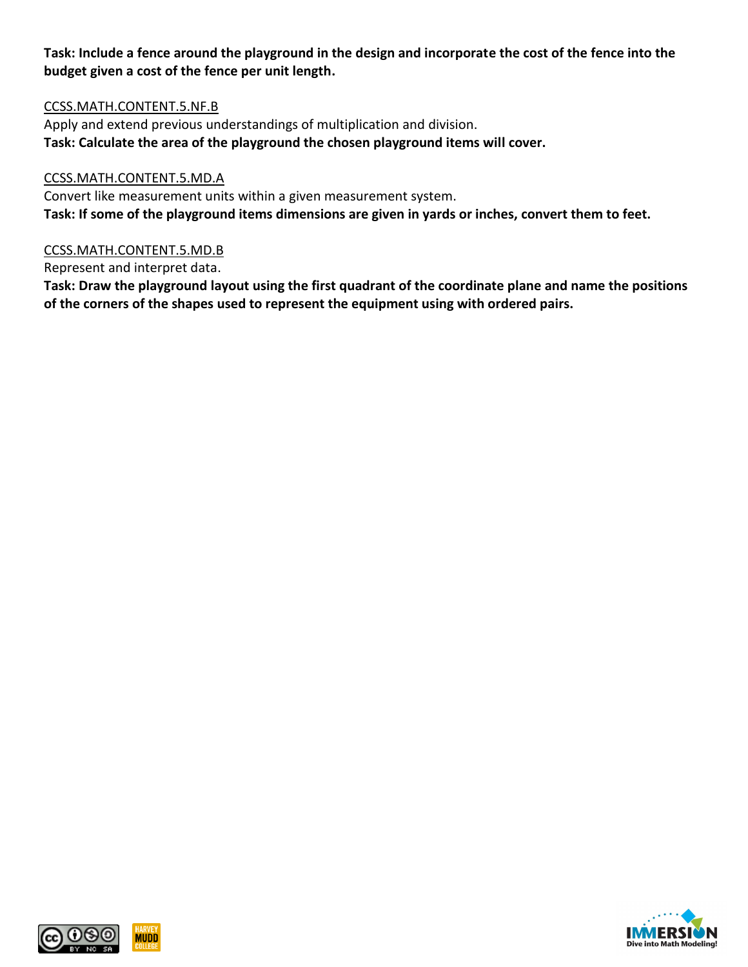**Task: Include a fence around the playground in the design and incorporate the cost of the fence into the budget given a cost of the fence per unit length.**

#### CCSS.MATH.CONTENT.5.NF.B

Apply and extend previous understandings of multiplication and division. **Task: Calculate the area of the playground the chosen playground items will cover.**

#### CCSS.MATH.CONTENT.5.MD.A

Convert like measurement units within a given measurement system. **Task: If some of the playground items dimensions are given in yards or inches, convert them to feet.**

#### CCSS.MATH.CONTENT.5.MD.B

Represent and interpret data.

**Task: Draw the playground layout using the first quadrant of the coordinate plane and name the positions of the corners of the shapes used to represent the equipment using with ordered pairs.**





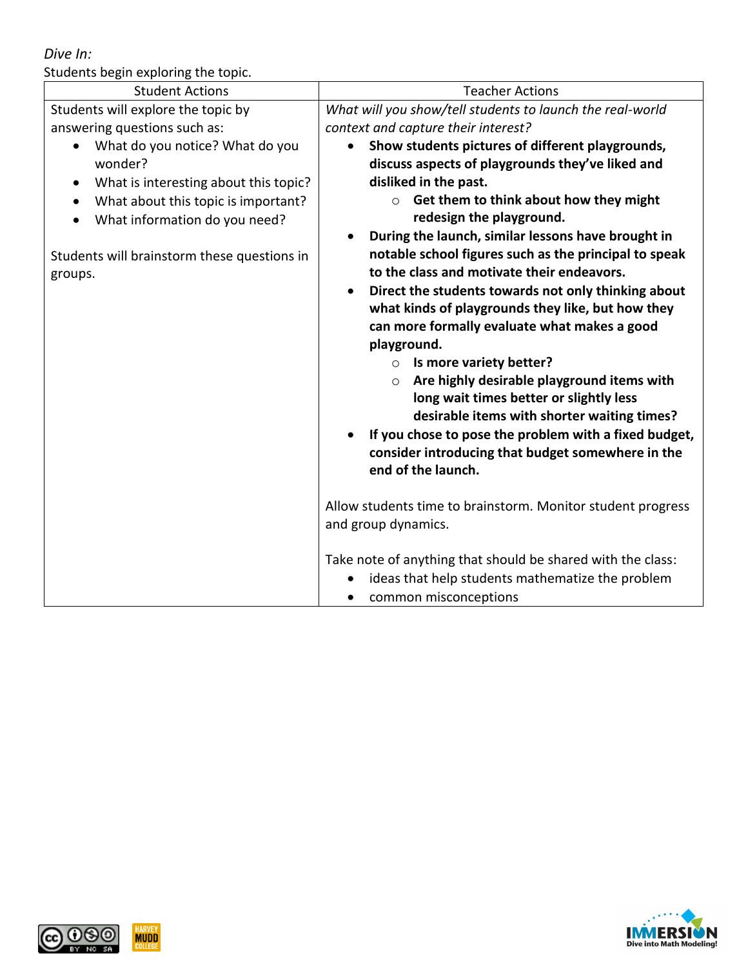*Dive In:*

Students begin exploring the topic.

| <b>Student Actions</b>                             | <b>Teacher Actions</b>                                             |
|----------------------------------------------------|--------------------------------------------------------------------|
|                                                    |                                                                    |
| Students will explore the topic by                 | What will you show/tell students to launch the real-world          |
| answering questions such as:                       | context and capture their interest?                                |
| What do you notice? What do you<br>$\bullet$       | Show students pictures of different playgrounds,<br>$\bullet$      |
| wonder?                                            | discuss aspects of playgrounds they've liked and                   |
| What is interesting about this topic?<br>$\bullet$ | disliked in the past.                                              |
| What about this topic is important?<br>$\bullet$   | Get them to think about how they might                             |
| What information do you need?<br>$\bullet$         | redesign the playground.                                           |
|                                                    | During the launch, similar lessons have brought in<br>$\bullet$    |
| Students will brainstorm these questions in        | notable school figures such as the principal to speak              |
| groups.                                            | to the class and motivate their endeavors.                         |
|                                                    | Direct the students towards not only thinking about<br>$\bullet$   |
|                                                    | what kinds of playgrounds they like, but how they                  |
|                                                    | can more formally evaluate what makes a good                       |
|                                                    | playground.                                                        |
|                                                    | Is more variety better?<br>$\circ$                                 |
|                                                    | Are highly desirable playground items with<br>$\circ$              |
|                                                    | long wait times better or slightly less                            |
|                                                    | desirable items with shorter waiting times?                        |
|                                                    | If you chose to pose the problem with a fixed budget,<br>$\bullet$ |
|                                                    | consider introducing that budget somewhere in the                  |
|                                                    | end of the launch.                                                 |
|                                                    |                                                                    |
|                                                    | Allow students time to brainstorm. Monitor student progress        |
|                                                    | and group dynamics.                                                |
|                                                    |                                                                    |
|                                                    | Take note of anything that should be shared with the class:        |
|                                                    | ideas that help students mathematize the problem                   |
|                                                    | common misconceptions<br>$\bullet$                                 |



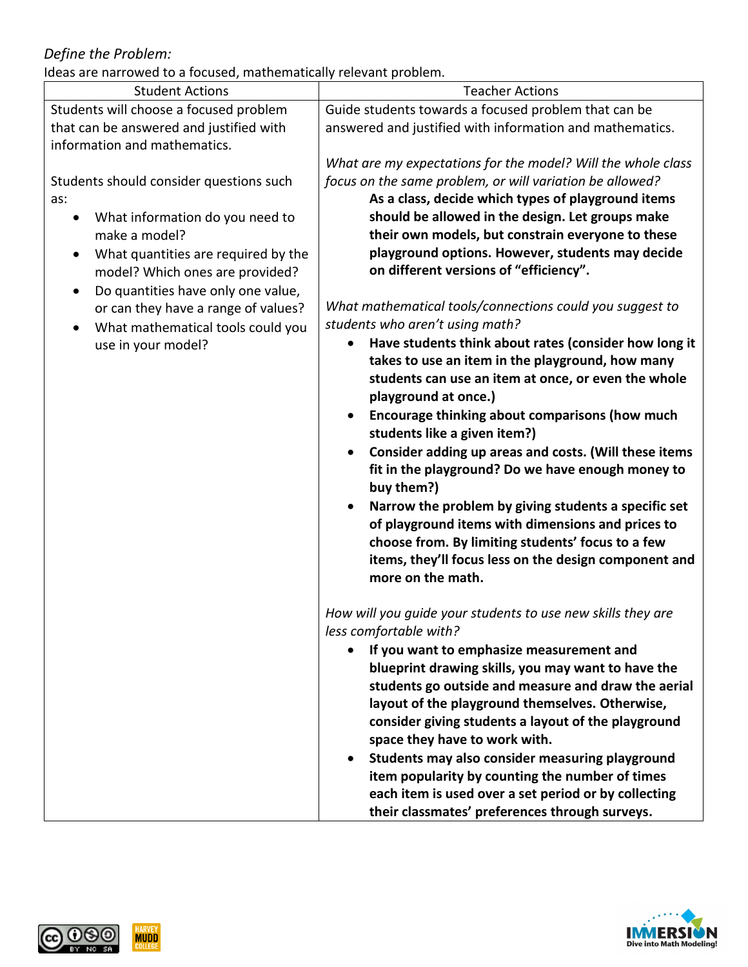# *Define the Problem:*

Ideas are narrowed to a focused, mathematically relevant problem.

| <b>Student Actions</b>                          | <b>Teacher Actions</b>                                       |
|-------------------------------------------------|--------------------------------------------------------------|
| Students will choose a focused problem          | Guide students towards a focused problem that can be         |
| that can be answered and justified with         | answered and justified with information and mathematics.     |
| information and mathematics.                    |                                                              |
|                                                 | What are my expectations for the model? Will the whole class |
| Students should consider questions such         | focus on the same problem, or will variation be allowed?     |
| as:                                             | As a class, decide which types of playground items           |
| What information do you need to<br>$\bullet$    | should be allowed in the design. Let groups make             |
| make a model?                                   | their own models, but constrain everyone to these            |
| What quantities are required by the             | playground options. However, students may decide             |
| model? Which ones are provided?                 | on different versions of "efficiency".                       |
| Do quantities have only one value,<br>$\bullet$ |                                                              |
| or can they have a range of values?             | What mathematical tools/connections could you suggest to     |
| What mathematical tools could you               | students who aren't using math?                              |
| use in your model?                              | Have students think about rates (consider how long it        |
|                                                 | takes to use an item in the playground, how many             |
|                                                 | students can use an item at once, or even the whole          |
|                                                 | playground at once.)                                         |
|                                                 | Encourage thinking about comparisons (how much               |
|                                                 | students like a given item?)                                 |
|                                                 | Consider adding up areas and costs. (Will these items        |
|                                                 | fit in the playground? Do we have enough money to            |
|                                                 | buy them?)                                                   |
|                                                 | Narrow the problem by giving students a specific set         |
|                                                 | of playground items with dimensions and prices to            |
|                                                 | choose from. By limiting students' focus to a few            |
|                                                 | items, they'll focus less on the design component and        |
|                                                 | more on the math.                                            |
|                                                 |                                                              |
|                                                 | How will you guide your students to use new skills they are  |
|                                                 | less comfortable with?                                       |
|                                                 | If you want to emphasize measurement and                     |
|                                                 | blueprint drawing skills, you may want to have the           |
|                                                 | students go outside and measure and draw the aerial          |
|                                                 | layout of the playground themselves. Otherwise,              |
|                                                 | consider giving students a layout of the playground          |
|                                                 | space they have to work with.                                |
|                                                 | Students may also consider measuring playground              |
|                                                 | item popularity by counting the number of times              |
|                                                 | each item is used over a set period or by collecting         |
|                                                 | their classmates' preferences through surveys.               |



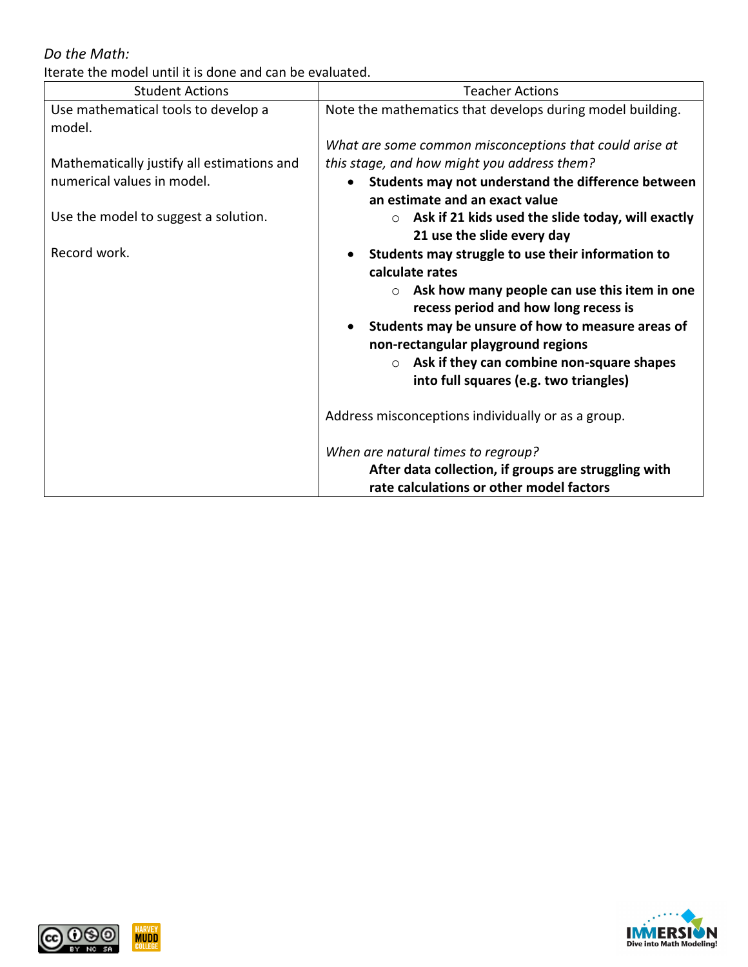## *Do the Math:*

Iterate the model until it is done and can be evaluated.

| <b>Student Actions</b>                        | <b>Teacher Actions</b>                                                                          |
|-----------------------------------------------|-------------------------------------------------------------------------------------------------|
| Use mathematical tools to develop a<br>model. | Note the mathematics that develops during model building.                                       |
|                                               | What are some common misconceptions that could arise at                                         |
| Mathematically justify all estimations and    | this stage, and how might you address them?                                                     |
| numerical values in model.                    | Students may not understand the difference between                                              |
|                                               | an estimate and an exact value                                                                  |
| Use the model to suggest a solution.          | Ask if 21 kids used the slide today, will exactly<br>$\circ$<br>21 use the slide every day      |
| Record work.                                  | Students may struggle to use their information to                                               |
|                                               | calculate rates                                                                                 |
|                                               | Ask how many people can use this item in one<br>$\circ$<br>recess period and how long recess is |
|                                               | Students may be unsure of how to measure areas of                                               |
|                                               | non-rectangular playground regions                                                              |
|                                               | Ask if they can combine non-square shapes<br>$\circ$                                            |
|                                               | into full squares (e.g. two triangles)                                                          |
|                                               | Address misconceptions individually or as a group.                                              |
|                                               | When are natural times to regroup?                                                              |
|                                               | After data collection, if groups are struggling with                                            |
|                                               | rate calculations or other model factors                                                        |



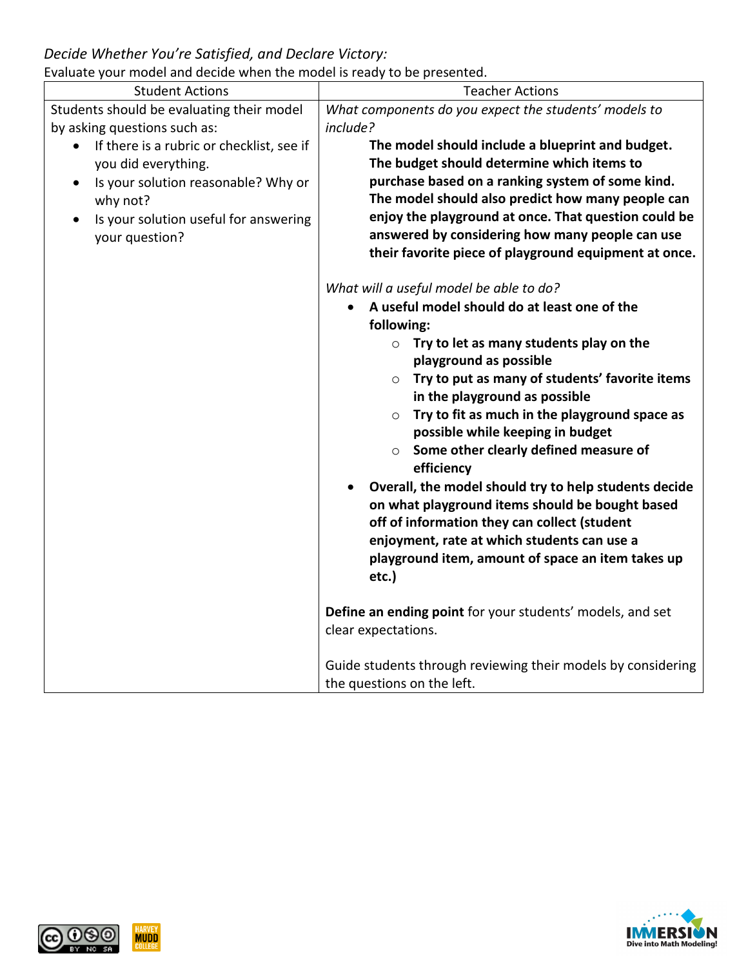## *Decide Whether You're Satisfied, and Declare Victory:*

Evaluate your model and decide when the model is ready to be presented.

| Lvaluate your model and decide when the model is ready to be presented. |                                                                |
|-------------------------------------------------------------------------|----------------------------------------------------------------|
| <b>Student Actions</b>                                                  | <b>Teacher Actions</b>                                         |
| Students should be evaluating their model                               | What components do you expect the students' models to          |
| by asking questions such as:                                            | include?                                                       |
| If there is a rubric or checklist, see if<br>$\bullet$                  | The model should include a blueprint and budget.               |
| you did everything.                                                     | The budget should determine which items to                     |
| Is your solution reasonable? Why or<br>$\bullet$                        | purchase based on a ranking system of some kind.               |
| why not?                                                                | The model should also predict how many people can              |
| Is your solution useful for answering                                   | enjoy the playground at once. That question could be           |
| your question?                                                          | answered by considering how many people can use                |
|                                                                         | their favorite piece of playground equipment at once.          |
|                                                                         | What will a useful model be able to do?                        |
|                                                                         | A useful model should do at least one of the                   |
|                                                                         | following:                                                     |
|                                                                         | Try to let as many students play on the<br>$\circ$             |
|                                                                         | playground as possible                                         |
|                                                                         | Try to put as many of students' favorite items<br>$\circ$      |
|                                                                         | in the playground as possible                                  |
|                                                                         | Try to fit as much in the playground space as<br>$\circ$       |
|                                                                         | possible while keeping in budget                               |
|                                                                         | Some other clearly defined measure of<br>$\circ$<br>efficiency |
|                                                                         | Overall, the model should try to help students decide          |
|                                                                         | on what playground items should be bought based                |
|                                                                         | off of information they can collect (student                   |
|                                                                         | enjoyment, rate at which students can use a                    |
|                                                                         | playground item, amount of space an item takes up              |
|                                                                         | etc.)                                                          |
|                                                                         | Define an ending point for your students' models, and set      |
|                                                                         | clear expectations.                                            |
|                                                                         |                                                                |
|                                                                         | Guide students through reviewing their models by considering   |
|                                                                         | the questions on the left.                                     |



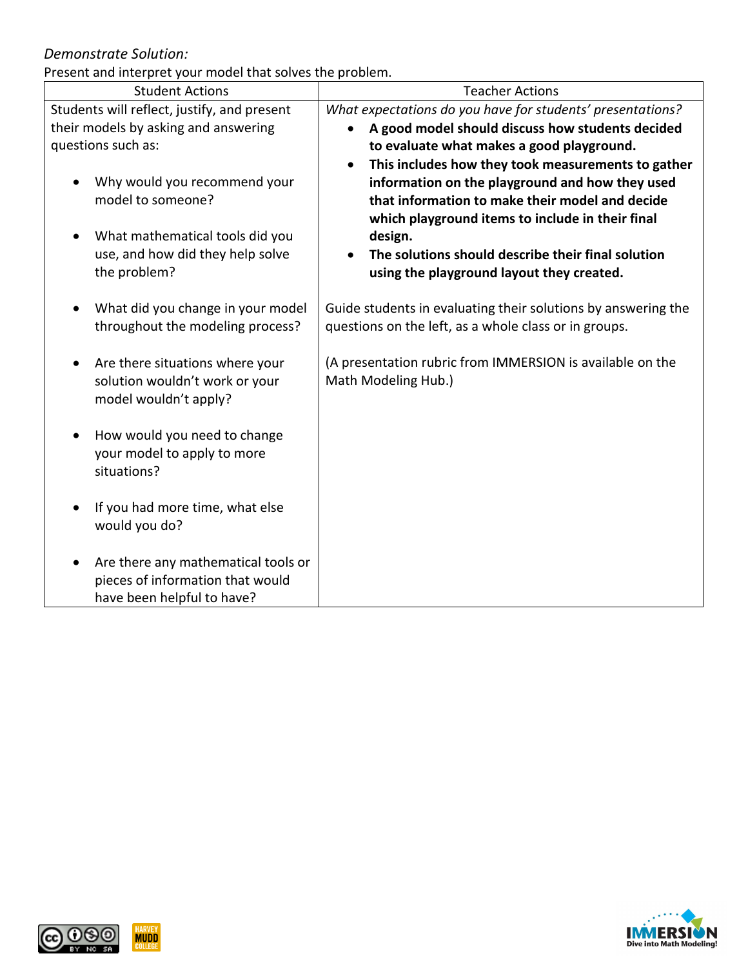### *Demonstrate Solution:*

Present and interpret your model that solves the problem.

| resent and micripict your moder that solves the problem.<br><b>Student Actions</b>                                                                    | <b>Teacher Actions</b>                                                                                                                                                                                                                                                                                                                  |
|-------------------------------------------------------------------------------------------------------------------------------------------------------|-----------------------------------------------------------------------------------------------------------------------------------------------------------------------------------------------------------------------------------------------------------------------------------------------------------------------------------------|
|                                                                                                                                                       |                                                                                                                                                                                                                                                                                                                                         |
| Students will reflect, justify, and present                                                                                                           | What expectations do you have for students' presentations?                                                                                                                                                                                                                                                                              |
| their models by asking and answering                                                                                                                  | A good model should discuss how students decided                                                                                                                                                                                                                                                                                        |
| questions such as:                                                                                                                                    | to evaluate what makes a good playground.                                                                                                                                                                                                                                                                                               |
| Why would you recommend your<br>model to someone?<br>What mathematical tools did you<br>$\bullet$<br>use, and how did they help solve<br>the problem? | This includes how they took measurements to gather<br>$\bullet$<br>information on the playground and how they used<br>that information to make their model and decide<br>which playground items to include in their final<br>design.<br>The solutions should describe their final solution<br>using the playground layout they created. |
| What did you change in your model<br>$\bullet$<br>throughout the modeling process?                                                                    | Guide students in evaluating their solutions by answering the<br>questions on the left, as a whole class or in groups.                                                                                                                                                                                                                  |
| Are there situations where your<br>٠<br>solution wouldn't work or your<br>model wouldn't apply?                                                       | (A presentation rubric from IMMERSION is available on the<br>Math Modeling Hub.)                                                                                                                                                                                                                                                        |
| How would you need to change<br>your model to apply to more<br>situations?                                                                            |                                                                                                                                                                                                                                                                                                                                         |
| If you had more time, what else<br>$\bullet$<br>would you do?                                                                                         |                                                                                                                                                                                                                                                                                                                                         |
| Are there any mathematical tools or<br>$\bullet$<br>pieces of information that would<br>have been helpful to have?                                    |                                                                                                                                                                                                                                                                                                                                         |